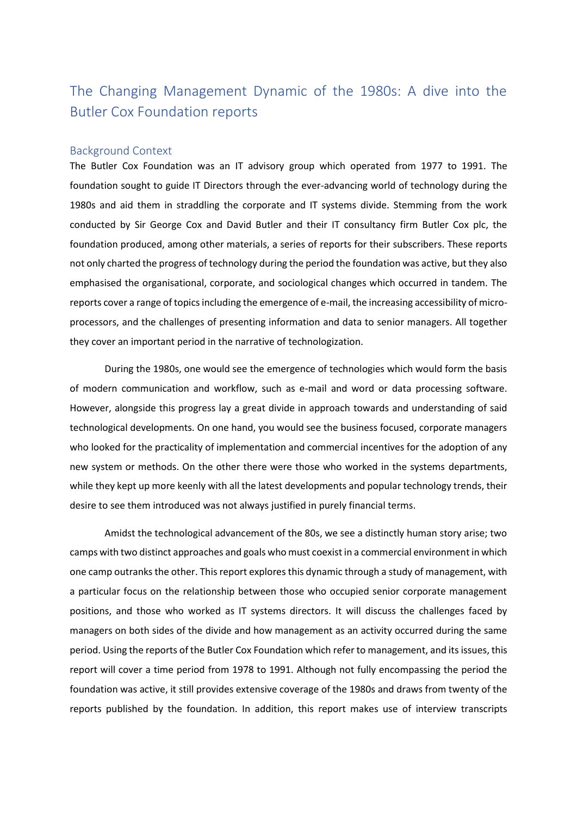# The Changing Management Dynamic of the 1980s: A dive into the Butler Cox Foundation reports

## Background Context

The Butler Cox Foundation was an IT advisory group which operated from 1977 to 1991. The foundation sought to guide IT Directors through the ever-advancing world of technology during the 1980s and aid them in straddling the corporate and IT systems divide. Stemming from the work conducted by Sir George Cox and David Butler and their IT consultancy firm Butler Cox plc, the foundation produced, among other materials, a series of reports for their subscribers. These reports not only charted the progress of technology during the period the foundation was active, but they also emphasised the organisational, corporate, and sociological changes which occurred in tandem. The reports cover a range of topics including the emergence of e-mail, the increasing accessibility of microprocessors, and the challenges of presenting information and data to senior managers. All together they cover an important period in the narrative of technologization.

During the 1980s, one would see the emergence of technologies which would form the basis of modern communication and workflow, such as e-mail and word or data processing software. However, alongside this progress lay a great divide in approach towards and understanding of said technological developments. On one hand, you would see the business focused, corporate managers who looked for the practicality of implementation and commercial incentives for the adoption of any new system or methods. On the other there were those who worked in the systems departments, while they kept up more keenly with all the latest developments and popular technology trends, their desire to see them introduced was not always justified in purely financial terms.

Amidst the technological advancement of the 80s, we see a distinctly human story arise; two camps with two distinct approaches and goals who must coexist in a commercial environment in which one camp outranks the other. This report explores this dynamic through a study of management, with a particular focus on the relationship between those who occupied senior corporate management positions, and those who worked as IT systems directors. It will discuss the challenges faced by managers on both sides of the divide and how management as an activity occurred during the same period. Using the reports of the Butler Cox Foundation which refer to management, and its issues, this report will cover a time period from 1978 to 1991. Although not fully encompassing the period the foundation was active, it still provides extensive coverage of the 1980s and draws from twenty of the reports published by the foundation. In addition, this report makes use of interview transcripts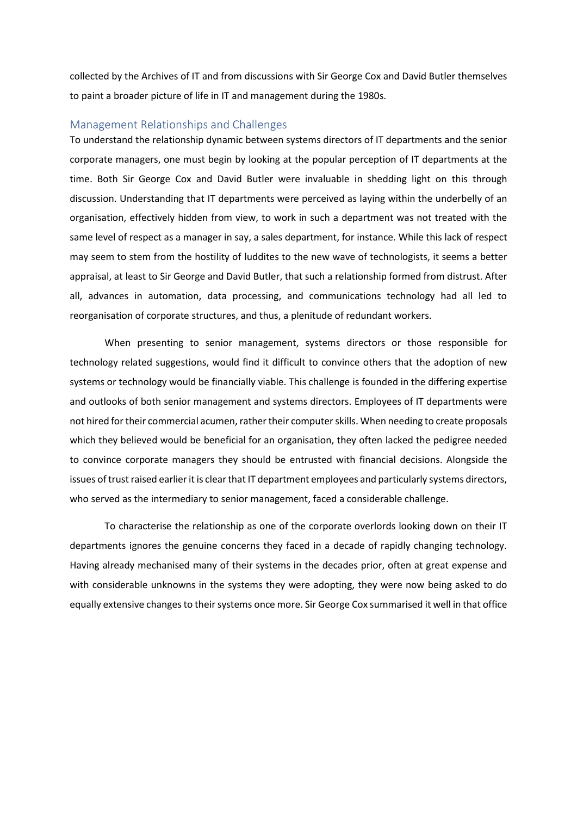collected by the Archives of IT and from discussions with Sir George Cox and David Butler themselves to paint a broader picture of life in IT and management during the 1980s.

#### Management Relationships and Challenges

To understand the relationship dynamic between systems directors of IT departments and the senior corporate managers, one must begin by looking at the popular perception of IT departments at the time. Both Sir George Cox and David Butler were invaluable in shedding light on this through discussion. Understanding that IT departments were perceived as laying within the underbelly of an organisation, effectively hidden from view, to work in such a department was not treated with the same level of respect as a manager in say, a sales department, for instance. While this lack of respect may seem to stem from the hostility of luddites to the new wave of technologists, it seems a better appraisal, at least to Sir George and David Butler, that such a relationship formed from distrust. After all, advances in automation, data processing, and communications technology had all led to reorganisation of corporate structures, and thus, a plenitude of redundant workers.

When presenting to senior management, systems directors or those responsible for technology related suggestions, would find it difficult to convince others that the adoption of new systems or technology would be financially viable. This challenge is founded in the differing expertise and outlooks of both senior management and systems directors. Employees of IT departments were not hired for their commercial acumen, rather their computer skills. When needing to create proposals which they believed would be beneficial for an organisation, they often lacked the pedigree needed to convince corporate managers they should be entrusted with financial decisions. Alongside the issues of trust raised earlier it is clear that IT department employees and particularly systems directors, who served as the intermediary to senior management, faced a considerable challenge.

To characterise the relationship as one of the corporate overlords looking down on their IT departments ignores the genuine concerns they faced in a decade of rapidly changing technology. Having already mechanised many of their systems in the decades prior, often at great expense and with considerable unknowns in the systems they were adopting, they were now being asked to do equally extensive changes to their systems once more. Sir George Cox summarised it well in that office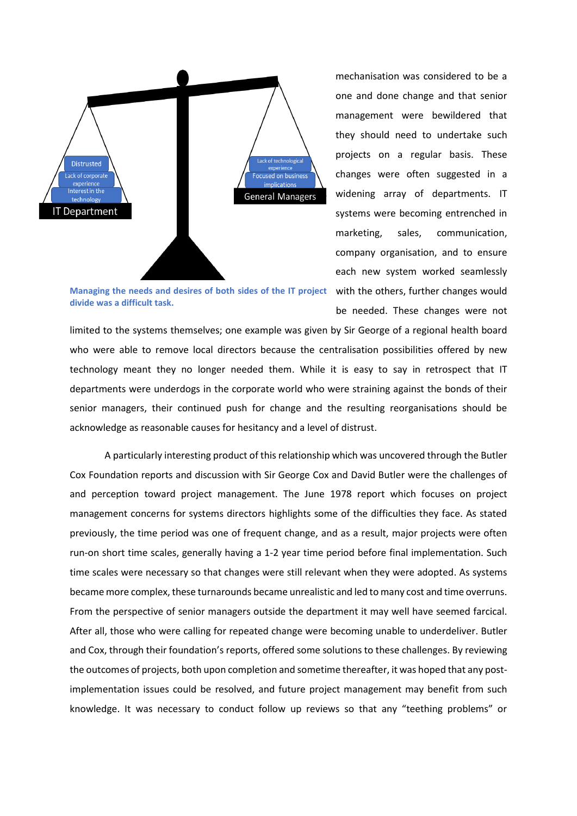

mechanisation was considered to be a one and done change and that senior management were bewildered that they should need to undertake such projects on a regular basis. These changes were often suggested in a widening array of departments. IT systems were becoming entrenched in marketing, sales, communication, company organisation, and to ensure each new system worked seamlessly be needed. These changes were not

Managing the needs and desires of both sides of the IT project with the others, further changes would **divide was a difficult task.**

limited to the systems themselves; one example was given by Sir George of a regional health board who were able to remove local directors because the centralisation possibilities offered by new technology meant they no longer needed them. While it is easy to say in retrospect that IT departments were underdogs in the corporate world who were straining against the bonds of their senior managers, their continued push for change and the resulting reorganisations should be acknowledge as reasonable causes for hesitancy and a level of distrust.

A particularly interesting product of this relationship which was uncovered through the Butler Cox Foundation reports and discussion with Sir George Cox and David Butler were the challenges of and perception toward project management. The June 1978 report which focuses on project management concerns for systems directors highlights some of the difficulties they face. As stated previously, the time period was one of frequent change, and as a result, major projects were often run-on short time scales, generally having a 1-2 year time period before final implementation. Such time scales were necessary so that changes were still relevant when they were adopted. As systems became more complex, these turnarounds became unrealistic and led to many cost and time overruns. From the perspective of senior managers outside the department it may well have seemed farcical. After all, those who were calling for repeated change were becoming unable to underdeliver. Butler and Cox, through their foundation's reports, offered some solutions to these challenges. By reviewing the outcomes of projects, both upon completion and sometime thereafter, it was hoped that any postimplementation issues could be resolved, and future project management may benefit from such knowledge. It was necessary to conduct follow up reviews so that any "teething problems" or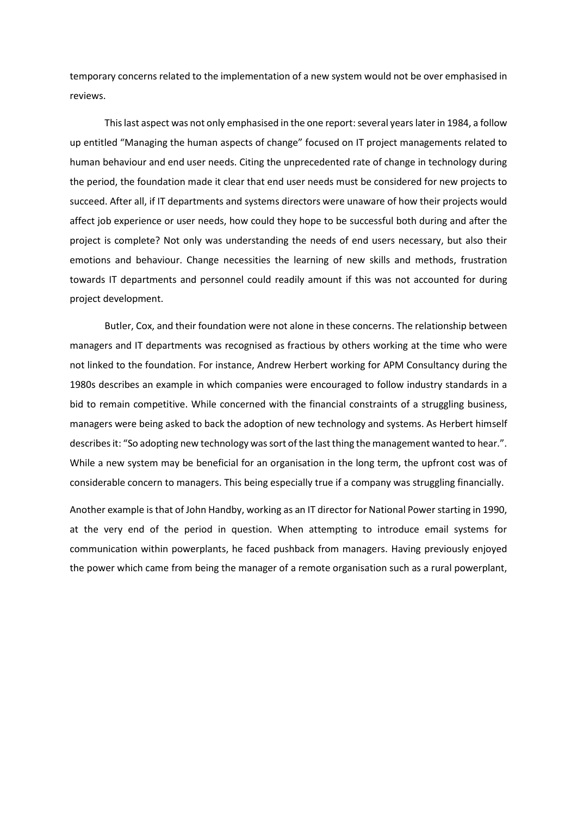temporary concerns related to the implementation of a new system would not be over emphasised in reviews.

This last aspect was not only emphasised in the one report: several years later in 1984, a follow up entitled "Managing the human aspects of change" focused on IT project managements related to human behaviour and end user needs. Citing the unprecedented rate of change in technology during the period, the foundation made it clear that end user needs must be considered for new projects to succeed. After all, if IT departments and systems directors were unaware of how their projects would affect job experience or user needs, how could they hope to be successful both during and after the project is complete? Not only was understanding the needs of end users necessary, but also their emotions and behaviour. Change necessities the learning of new skills and methods, frustration towards IT departments and personnel could readily amount if this was not accounted for during project development.

Butler, Cox, and their foundation were not alone in these concerns. The relationship between managers and IT departments was recognised as fractious by others working at the time who were not linked to the foundation. For instance, Andrew Herbert working for APM Consultancy during the 1980s describes an example in which companies were encouraged to follow industry standards in a bid to remain competitive. While concerned with the financial constraints of a struggling business, managers were being asked to back the adoption of new technology and systems. As Herbert himself describes it: "So adopting new technology was sort of the last thing the management wanted to hear.". While a new system may be beneficial for an organisation in the long term, the upfront cost was of considerable concern to managers. This being especially true if a company was struggling financially.

Another example is that of John Handby, working as an IT director for National Power starting in 1990, at the very end of the period in question. When attempting to introduce email systems for communication within powerplants, he faced pushback from managers. Having previously enjoyed the power which came from being the manager of a remote organisation such as a rural powerplant,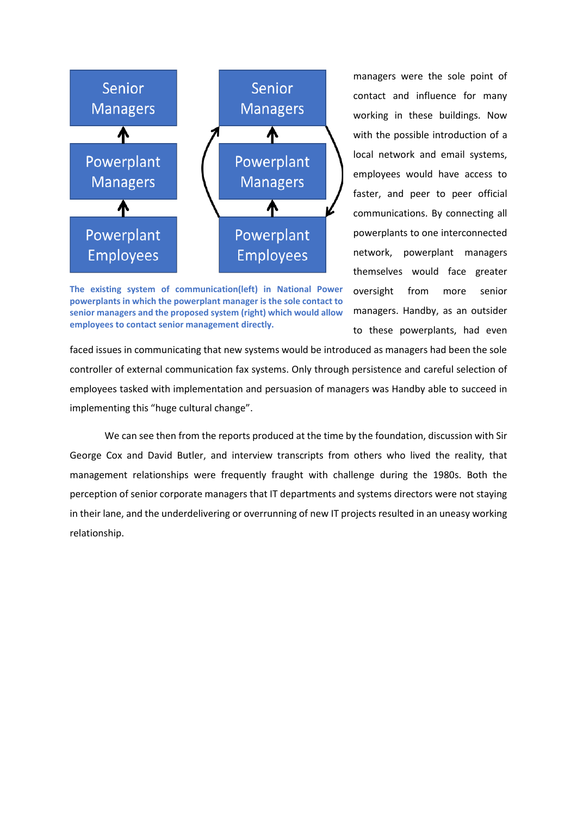

**The existing system of communication(left) in National Power powerplants in which the powerplant manager is the sole contact to senior managers and the proposed system (right) which would allow employees to contact senior management directly.**

managers were the sole point of contact and influence for many working in these buildings. Now with the possible introduction of a local network and email systems, employees would have access to faster, and peer to peer official communications. By connecting all powerplants to one interconnected network, powerplant managers themselves would face greater oversight from more senior managers. Handby, as an outsider to these powerplants, had even

faced issues in communicating that new systems would be introduced as managers had been the sole controller of external communication fax systems. Only through persistence and careful selection of employees tasked with implementation and persuasion of managers was Handby able to succeed in implementing this "huge cultural change".

We can see then from the reports produced at the time by the foundation, discussion with Sir George Cox and David Butler, and interview transcripts from others who lived the reality, that management relationships were frequently fraught with challenge during the 1980s. Both the perception of senior corporate managers that IT departments and systems directors were not staying in their lane, and the underdelivering or overrunning of new IT projects resulted in an uneasy working relationship.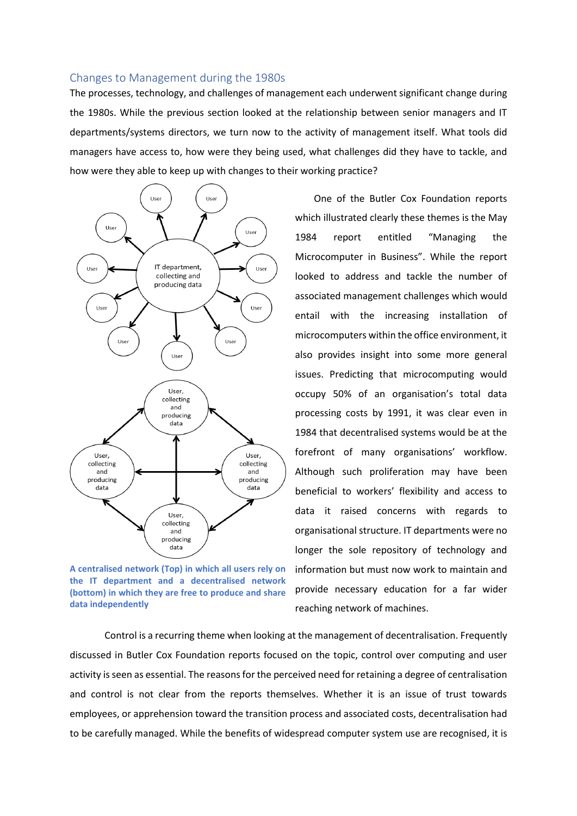### Changes to Management during the 1980s

The processes, technology, and challenges of management each underwent significant change during the 1980s. While the previous section looked at the relationship between senior managers and IT departments/systems directors, we turn now to the activity of management itself. What tools did managers have access to, how were they being used, what challenges did they have to tackle, and how were they able to keep up with changes to their working practice?



**A centralised network (Top) in which all users rely on the IT department and a decentralised network (bottom) in which they are free to produce and share data independently**

One of the Butler Cox Foundation reports which illustrated clearly these themes is the May 1984 report entitled "Managing the Microcomputer in Business". While the report looked to address and tackle the number of associated management challenges which would entail with the increasing installation of microcomputers within the office environment, it also provides insight into some more general issues. Predicting that microcomputing would occupy 50% of an organisation's total data processing costs by 1991, it was clear even in 1984 that decentralised systems would be at the forefront of many organisations' workflow. Although such proliferation may have been beneficial to workers' flexibility and access to data it raised concerns with regards to organisational structure. IT departments were no longer the sole repository of technology and information but must now work to maintain and provide necessary education for a far wider reaching network of machines.

Control is a recurring theme when looking at the management of decentralisation. Frequently discussed in Butler Cox Foundation reports focused on the topic, control over computing and user activity is seen as essential. The reasons for the perceived need for retaining a degree of centralisation and control is not clear from the reports themselves. Whether it is an issue of trust towards employees, or apprehension toward the transition process and associated costs, decentralisation had to be carefully managed. While the benefits of widespread computer system use are recognised, it is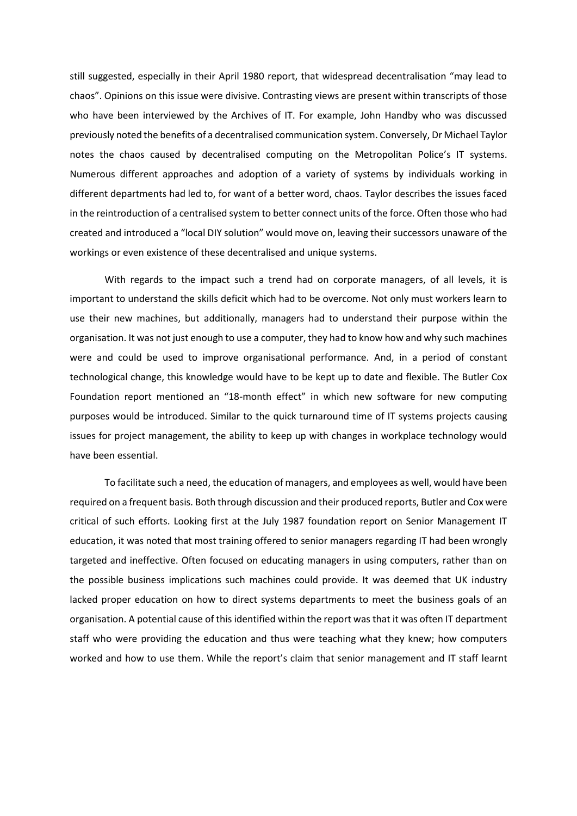still suggested, especially in their April 1980 report, that widespread decentralisation "may lead to chaos". Opinions on this issue were divisive. Contrasting views are present within transcripts of those who have been interviewed by the Archives of IT. For example, John Handby who was discussed previously noted the benefits of a decentralised communication system. Conversely, Dr Michael Taylor notes the chaos caused by decentralised computing on the Metropolitan Police's IT systems. Numerous different approaches and adoption of a variety of systems by individuals working in different departments had led to, for want of a better word, chaos. Taylor describes the issues faced in the reintroduction of a centralised system to better connect units of the force. Often those who had created and introduced a "local DIY solution" would move on, leaving their successors unaware of the workings or even existence of these decentralised and unique systems.

With regards to the impact such a trend had on corporate managers, of all levels, it is important to understand the skills deficit which had to be overcome. Not only must workers learn to use their new machines, but additionally, managers had to understand their purpose within the organisation. It was not just enough to use a computer, they had to know how and why such machines were and could be used to improve organisational performance. And, in a period of constant technological change, this knowledge would have to be kept up to date and flexible. The Butler Cox Foundation report mentioned an "18-month effect" in which new software for new computing purposes would be introduced. Similar to the quick turnaround time of IT systems projects causing issues for project management, the ability to keep up with changes in workplace technology would have been essential.

To facilitate such a need, the education of managers, and employees as well, would have been required on a frequent basis. Both through discussion and their produced reports, Butler and Cox were critical of such efforts. Looking first at the July 1987 foundation report on Senior Management IT education, it was noted that most training offered to senior managers regarding IT had been wrongly targeted and ineffective. Often focused on educating managers in using computers, rather than on the possible business implications such machines could provide. It was deemed that UK industry lacked proper education on how to direct systems departments to meet the business goals of an organisation. A potential cause of this identified within the report was that it was often IT department staff who were providing the education and thus were teaching what they knew; how computers worked and how to use them. While the report's claim that senior management and IT staff learnt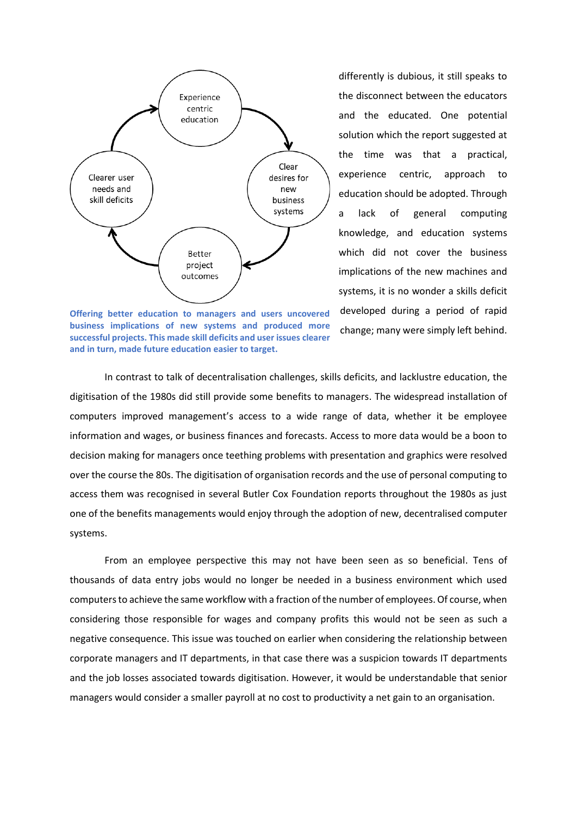

**Offering better education to managers and users uncovered business implications of new systems and produced more successful projects. This made skill deficits and user issues clearer and in turn, made future education easier to target.**

differently is dubious, it still speaks to the disconnect between the educators and the educated. One potential solution which the report suggested at the time was that a practical, experience centric, approach to education should be adopted. Through a lack of general computing knowledge, and education systems which did not cover the business implications of the new machines and systems, it is no wonder a skills deficit developed during a period of rapid change; many were simply left behind.

In contrast to talk of decentralisation challenges, skills deficits, and lacklustre education, the digitisation of the 1980s did still provide some benefits to managers. The widespread installation of computers improved management's access to a wide range of data, whether it be employee information and wages, or business finances and forecasts. Access to more data would be a boon to decision making for managers once teething problems with presentation and graphics were resolved over the course the 80s. The digitisation of organisation records and the use of personal computing to access them was recognised in several Butler Cox Foundation reports throughout the 1980s as just one of the benefits managements would enjoy through the adoption of new, decentralised computer systems.

From an employee perspective this may not have been seen as so beneficial. Tens of thousands of data entry jobs would no longer be needed in a business environment which used computers to achieve the same workflow with a fraction of the number of employees. Of course, when considering those responsible for wages and company profits this would not be seen as such a negative consequence. This issue was touched on earlier when considering the relationship between corporate managers and IT departments, in that case there was a suspicion towards IT departments and the job losses associated towards digitisation. However, it would be understandable that senior managers would consider a smaller payroll at no cost to productivity a net gain to an organisation.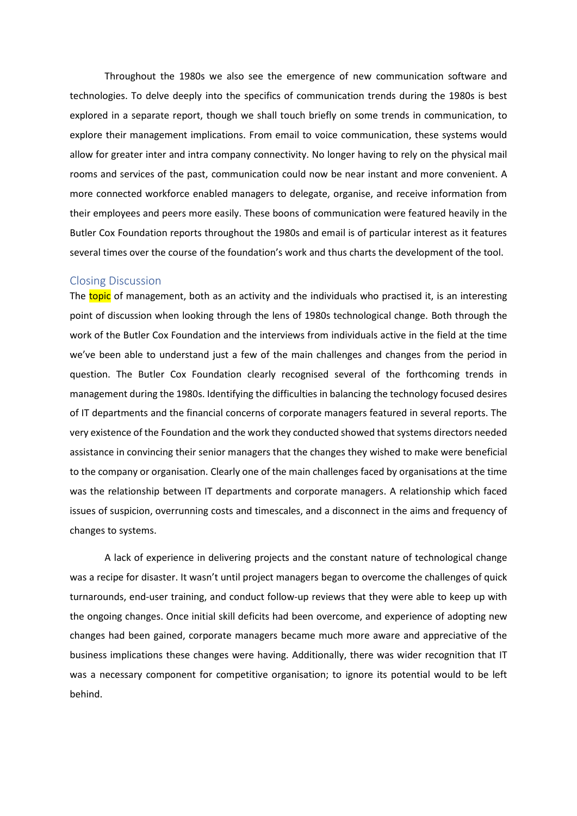Throughout the 1980s we also see the emergence of new communication software and technologies. To delve deeply into the specifics of communication trends during the 1980s is best explored in a separate report, though we shall touch briefly on some trends in communication, to explore their management implications. From email to voice communication, these systems would allow for greater inter and intra company connectivity. No longer having to rely on the physical mail rooms and services of the past, communication could now be near instant and more convenient. A more connected workforce enabled managers to delegate, organise, and receive information from their employees and peers more easily. These boons of communication were featured heavily in the Butler Cox Foundation reports throughout the 1980s and email is of particular interest as it features several times over the course of the foundation's work and thus charts the development of the tool.

#### Closing Discussion

The topic of management, both as an activity and the individuals who practised it, is an interesting point of discussion when looking through the lens of 1980s technological change. Both through the work of the Butler Cox Foundation and the interviews from individuals active in the field at the time we've been able to understand just a few of the main challenges and changes from the period in question. The Butler Cox Foundation clearly recognised several of the forthcoming trends in management during the 1980s. Identifying the difficulties in balancing the technology focused desires of IT departments and the financial concerns of corporate managers featured in several reports. The very existence of the Foundation and the work they conducted showed that systems directors needed assistance in convincing their senior managers that the changes they wished to make were beneficial to the company or organisation. Clearly one of the main challenges faced by organisations at the time was the relationship between IT departments and corporate managers. A relationship which faced issues of suspicion, overrunning costs and timescales, and a disconnect in the aims and frequency of changes to systems.

A lack of experience in delivering projects and the constant nature of technological change was a recipe for disaster. It wasn't until project managers began to overcome the challenges of quick turnarounds, end-user training, and conduct follow-up reviews that they were able to keep up with the ongoing changes. Once initial skill deficits had been overcome, and experience of adopting new changes had been gained, corporate managers became much more aware and appreciative of the business implications these changes were having. Additionally, there was wider recognition that IT was a necessary component for competitive organisation; to ignore its potential would to be left behind.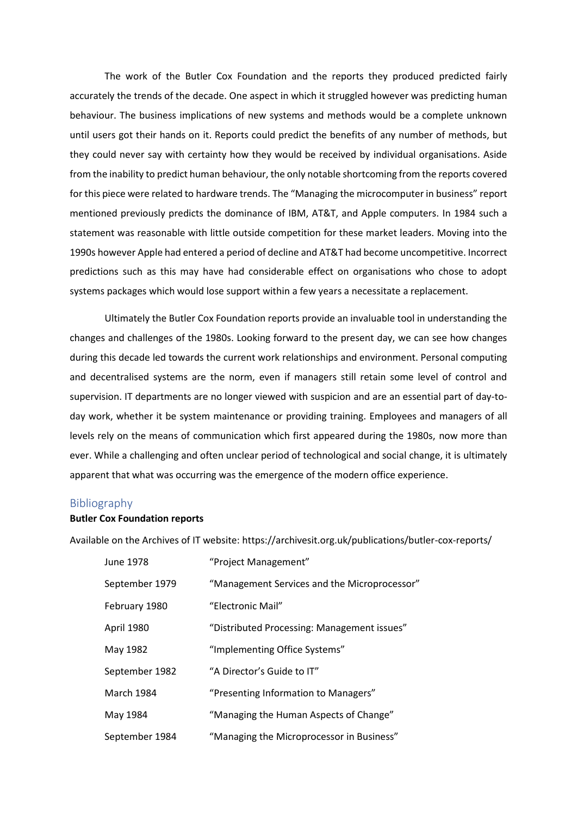The work of the Butler Cox Foundation and the reports they produced predicted fairly accurately the trends of the decade. One aspect in which it struggled however was predicting human behaviour. The business implications of new systems and methods would be a complete unknown until users got their hands on it. Reports could predict the benefits of any number of methods, but they could never say with certainty how they would be received by individual organisations. Aside from the inability to predict human behaviour, the only notable shortcoming from the reports covered for this piece were related to hardware trends. The "Managing the microcomputer in business" report mentioned previously predicts the dominance of IBM, AT&T, and Apple computers. In 1984 such a statement was reasonable with little outside competition for these market leaders. Moving into the 1990s however Apple had entered a period of decline and AT&T had become uncompetitive. Incorrect predictions such as this may have had considerable effect on organisations who chose to adopt systems packages which would lose support within a few years a necessitate a replacement.

Ultimately the Butler Cox Foundation reports provide an invaluable tool in understanding the changes and challenges of the 1980s. Looking forward to the present day, we can see how changes during this decade led towards the current work relationships and environment. Personal computing and decentralised systems are the norm, even if managers still retain some level of control and supervision. IT departments are no longer viewed with suspicion and are an essential part of day-today work, whether it be system maintenance or providing training. Employees and managers of all levels rely on the means of communication which first appeared during the 1980s, now more than ever. While a challenging and often unclear period of technological and social change, it is ultimately apparent that what was occurring was the emergence of the modern office experience.

## Bibliography

#### **Butler Cox Foundation reports**

Available on the Archives of IT website: https://archivesit.org.uk/publications/butler-cox-reports/

| June 1978      | "Project Management"                         |
|----------------|----------------------------------------------|
| September 1979 | "Management Services and the Microprocessor" |
| February 1980  | "Electronic Mail"                            |
| April 1980     | "Distributed Processing: Management issues"  |
| May 1982       | "Implementing Office Systems"                |
| September 1982 | "A Director's Guide to IT"                   |
| March 1984     | "Presenting Information to Managers"         |
| May 1984       | "Managing the Human Aspects of Change"       |
| September 1984 | "Managing the Microprocessor in Business"    |